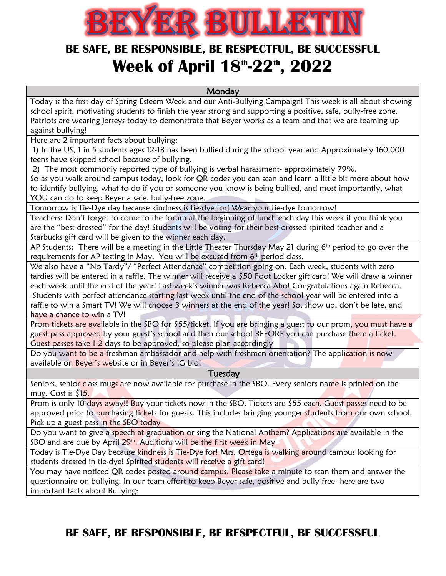

## **BE SAFE, BE RESPONSIBLE, BE RESPECTFUL, BE SUCCESSFUL Week of April 18 th -22th , 2022**

**Monday** 

Today is the first day of Spring Esteem Week and our Anti-Bullying Campaign! This week is all about showing school spirit, motivating students to finish the year strong and supporting a positive, safe, bully-free zone. Patriots are wearing jerseys today to demonstrate that Beyer works as a team and that we are teaming up against bullying!

Here are 2 important facts about bullying:

1) In the US, 1 in 5 students ages 12-18 has been bullied during the school year and Approximately 160,000 teens have skipped school because of bullying.

2) The most commonly reported type of bullying is verbal harassment- approximately 79%.

So as you walk around campus today, look for QR codes you can scan and learn a little bit more about how to identify bullying, what to do if you or someone you know is being bullied, and most importantly, what YOU can do to keep Beyer a safe, bully-free zone.

Tomorrow is Tie-Dye day because kindness is tie-dye for! Wear your tie-dye tomorrow!

Teachers: Don't forget to come to the forum at the beginning of lunch each day this week if you think you are the "best-dressed" for the day! Students will be voting for their best-dressed spirited teacher and a Starbucks gift card will be given to the winner each day.

AP Students: There will be a meeting in the Little Theater Thursday May 21 during 6<sup>th</sup> period to go over the requirements for AP testing in May. You will be excused from 6<sup>th</sup> period class.

We also have a "No Tardy"/ "Perfect Attendance" competition going on. Each week, students with zero tardies will be entered in a raffle. The winner will receive a \$50 Foot Locker gift card! We will draw a winner each week until the end of the year! Last week's winner was Rebecca Aho! Congratulations again Rebecca. -Students with perfect attendance starting last week until the end of the school year will be entered into a raffle to win a Smart TV! We will choose 3 winners at the end of the year! So, show up, don't be late, and have a chance to win a TV!

Prom tickets are available in the SBO for \$55/ticket. If you are bringing a guest to our prom, you must have a guest pass approved by your guest's school and then our school BEFORE you can purchase them a ticket. Guest passes take 1-2 days to be approved, so please plan accordingly

Do you want to be a freshman ambassador and help with freshmen orientation? The application is now available on Beyer's website or in Beyer's IG bio!

#### Tuesday

Seniors, senior class mugs are now available for purchase in the SBO. Every seniors name is printed on the mug. Cost is \$15.

Prom is only 10 days away!! Buy your tickets now in the SBO. Tickets are \$55 each. Guest passes need to be approved prior to purchasing tickets for guests. This includes bringing younger students from our own school. Pick up a guest pass in the SBO today

Do you want to give a speech at graduation or sing the National Anthem? Applications are available in the SBO and are due by April 29th. Auditions will be the first week in May

Today is Tie-Dye Day because kindness is Tie-Dye for! Mrs. Ortega is walking around campus looking for students dressed in tie-dye! Spirited students will receive a gift card!

You may have noticed QR codes posted around campus. Please take a minute to scan them and answer the questionnaire on bullying. In our team effort to keep Beyer safe, positive and bully-free- here are two important facts about Bullying:

**BE SAFE, BE RESPONSIBLE, BE RESPECTFUL, BE SUCCESSFUL**